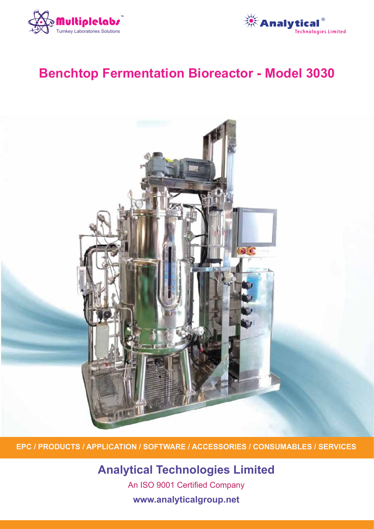



# **Benchtop Fermentation Bioreactor - Model 3030**



**EPC / PRODUCTS / APPLICATION / SOFTWARE / ACCESSORIES / CONSUMABLES / SERVICES**

**Analytical Technologies Limited**

An ISO 9001 Certified Company

**www.analyticalgroup.net**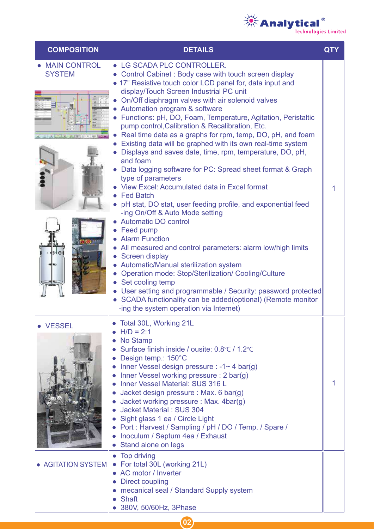

| <b>COMPOSITION</b>                  | <b>DETAILS</b>                                                                                                                                                                                                                                                                                                                                                                                                                                                                                                                                                                                                                                                                                                                                                                                                                                                                                                                                                                                                                                                                                                                                                                                                                                                                                                                                         | <b>QTY</b> |
|-------------------------------------|--------------------------------------------------------------------------------------------------------------------------------------------------------------------------------------------------------------------------------------------------------------------------------------------------------------------------------------------------------------------------------------------------------------------------------------------------------------------------------------------------------------------------------------------------------------------------------------------------------------------------------------------------------------------------------------------------------------------------------------------------------------------------------------------------------------------------------------------------------------------------------------------------------------------------------------------------------------------------------------------------------------------------------------------------------------------------------------------------------------------------------------------------------------------------------------------------------------------------------------------------------------------------------------------------------------------------------------------------------|------------|
| • MAIN CONTROL<br><b>SYSTEM</b>     | • LG SCADA PLC CONTROLLER.<br>Control Cabinet: Body case with touch screen display<br>• 17" Resistive touch color LCD panel for, data input and<br>display/Touch Screen Industrial PC unit<br>On/Off diaphragm valves with air solenoid valves<br>Automation program & software<br>• Functions: pH, DO, Foam, Temperature, Agitation, Peristaltic<br>pump control, Calibration & Recalibration, Etc.<br>Real time data as a graphs for rpm, temp, DO, pH, and foam<br>Existing data will be graphed with its own real-time system<br>Displays and saves date, time, rpm, temperature, DO, pH,<br>and foam<br>Data logging software for PC: Spread sheet format & Graph<br>type of parameters<br>View Excel: Accumulated data in Excel format<br><b>Fed Batch</b><br>pH stat, DO stat, user feeding profile, and exponential feed<br>-ing On/Off & Auto Mode setting<br><b>Automatic DO control</b><br>Feed pump<br><b>Alarm Function</b><br>$\bullet$<br>All measured and control parameters: alarm low/high limits<br>Screen display<br>Automatic/Manual sterilization system<br><b>Operation mode: Stop/Sterilization/ Cooling/Culture</b><br>$\bullet$<br>Set cooling temp<br>User setting and programmable / Security: password protected<br>SCADA functionality can be added(optional) (Remote monitor<br>-ing the system operation via Internet) | 1          |
| <b>VESSEL</b><br>• AGITATION SYSTEM | Total 30L, Working 21L<br>$H/D = 2:1$<br>No Stamp<br>$\bullet$<br>Surface finish inside / ousite: 0.8°C / 1.2°C<br>Design temp.: 150°C<br>Inner Vessel design pressure : $-1 \sim 4$ bar(g)<br>Inner Vessel working pressure : 2 bar(g)<br><b>Inner Vessel Material: SUS 316 L</b><br>Jacket design pressure : Max. 6 bar(g)<br>Jacket working pressure: Max. 4bar(g)<br>Jacket Material: SUS 304<br>Sight glass 1 ea / Circle Light<br>Port: Harvest / Sampling / pH / DO / Temp. / Spare /<br>Inoculum / Septum 4ea / Exhaust<br>Stand alone on legs<br>Top driving<br>For total 30L (working 21L)<br>$\bullet$<br>AC motor / Inverter                                                                                                                                                                                                                                                                                                                                                                                                                                                                                                                                                                                                                                                                                                               |            |
|                                     | <b>Direct coupling</b><br>mecanical seal / Standard Supply system<br><b>Shaft</b><br>380V, 50/60Hz, 3Phase                                                                                                                                                                                                                                                                                                                                                                                                                                                                                                                                                                                                                                                                                                                                                                                                                                                                                                                                                                                                                                                                                                                                                                                                                                             |            |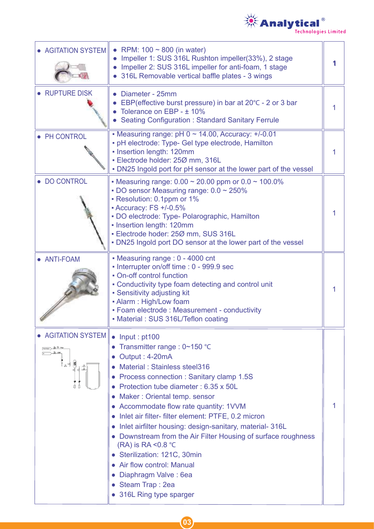

| • AGITATION SYSTEM         | RPM: $100 \sim 800$ (in water)<br>$\bullet$<br>Impeller 1: SUS 316L Rushton impeller(33%), 2 stage<br>Impeller 2: SUS 316L impeller for anti-foam, 1 stage<br>316L Removable vertical baffle plates - 3 wings                                                                                                                                                                                                                                                                                                                                                                                                         |   |
|----------------------------|-----------------------------------------------------------------------------------------------------------------------------------------------------------------------------------------------------------------------------------------------------------------------------------------------------------------------------------------------------------------------------------------------------------------------------------------------------------------------------------------------------------------------------------------------------------------------------------------------------------------------|---|
| <b>RUPTURE DISK</b>        | Diameter - 25mm<br>EBP(effective burst pressure) in bar at 20°C - 2 or 3 bar<br>Tolerance on EBP - ± 10%<br><b>Seating Configuration: Standard Sanitary Ferrule</b>                                                                                                                                                                                                                                                                                                                                                                                                                                                   | 1 |
| • PH CONTROL               | - Measuring range: $pH$ 0 $\sim$ 14.00, Accuracy: $+/-0.01$<br>- pH electrode: Type- Gel type electrode, Hamilton<br>• Insertion length: 120mm<br>· Electrode holder: 250 mm, 316L<br>• DN25 Ingold port for pH sensor at the lower part of the vessel                                                                                                                                                                                                                                                                                                                                                                |   |
| • DO CONTROL               | • Measuring range: $0.00 \sim 20.00$ ppm or $0.0 \sim 100.0\%$<br>• DO sensor Measuring range: $0.0 \sim 250\%$<br>- Resolution: 0.1ppm or 1%<br>- Accuracy: FS +/-0.5%<br>- DO electrode: Type- Polarographic, Hamilton<br>- Insertion length: 120mm<br>- Electrode hoder: 250 mm, SUS 316L<br>. DN25 Ingold port DO sensor at the lower part of the vessel                                                                                                                                                                                                                                                          | 1 |
| • ANTI-FOAM                | • Measuring range : 0 - 4000 cnt<br>- Interrupter on/off time : 0 - 999.9 sec<br>• On-off control function<br>• Conductivity type foam detecting and control unit<br>• Sensitivity adjusting kit<br>- Alarm: High/Low foam<br>- Foam electrode : Measurement - conductivity<br>• Material: SUS 316L/Teflon coating                                                                                                                                                                                                                                                                                                    | 1 |
| • AGITATION SYSTEM<br>【《*圓 | $\bullet$ Input : pt100<br>Transmitter range : 0~150 °C<br>Output: 4-20mA<br>Material: Stainless steel316<br>Process connection : Sanitary clamp 1.5S<br>Protection tube diameter: 6.35 x 50L<br>Maker: Oriental temp. sensor<br>• Accommodate flow rate quantity: 1VVM<br>Inlet air filter- filter element: PTFE, 0.2 micron<br>Inlet airfilter housing: design-sanitary, material-316L<br>Downstream from the Air Filter Housing of surface roughness<br>(RA) is RA < $0.8$ °C<br>• Sterilization: 121C, 30min<br>Air flow control: Manual<br>Diaphragm Valve: 6ea<br>• Steam Trap: 2ea<br>• 316L Ring type sparger | 1 |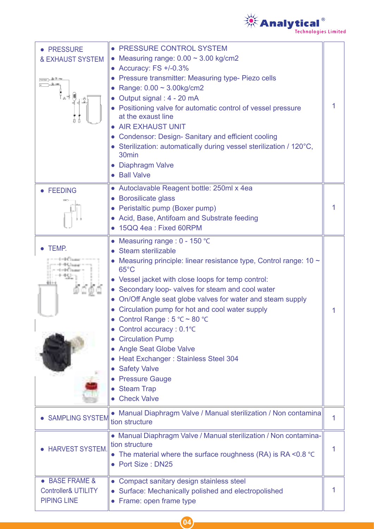

| <b>PRESSURE</b><br><b>&amp; EXHAUST SYSTEM</b>                                  | • PRESSURE CONTROL SYSTEM<br>• Measuring range: $0.00 \approx 3.00$ kg/cm2<br>• Accuracy: $FS +1-0.3%$<br>• Pressure transmitter: Measuring type- Piezo cells<br>• Range: $0.00 \sim 3.00$ kg/cm2<br>Output signal: 4 - 20 mA<br>Positioning valve for automatic control of vessel pressure<br>at the exaust line<br>• AIR EXHAUST UNIT<br><b>Condensor: Design- Sanitary and efficient cooling</b><br>• Sterilization: automatically during vessel sterilization / 120°C,<br>30 <sub>min</sub><br>• Diaphragm Valve<br>• Ball Valve                                                                                                 | 1 |
|---------------------------------------------------------------------------------|--------------------------------------------------------------------------------------------------------------------------------------------------------------------------------------------------------------------------------------------------------------------------------------------------------------------------------------------------------------------------------------------------------------------------------------------------------------------------------------------------------------------------------------------------------------------------------------------------------------------------------------|---|
| <b>FEEDING</b>                                                                  | • Autoclavable Reagent bottle: 250ml x 4ea<br>• Borosilicate glass<br>• Peristaltic pump (Boxer pump)<br>• Acid, Base, Antifoam and Substrate feeding<br>• 15QQ 4ea: Fixed 60RPM                                                                                                                                                                                                                                                                                                                                                                                                                                                     |   |
| TEMP.                                                                           | Measuring range : $0 - 150$ °C<br>• Steam sterilizable<br>Measuring principle: linear resistance type, Control range: $10 \sim$<br>$65^{\circ}$ C<br>• Vessel jacket with close loops for temp control:<br>• Secondary loop- valves for steam and cool water<br>On/Off Angle seat globe valves for water and steam supply<br>Circulation pump for hot and cool water supply<br>Control Range : 5 °C ~ 80 °C<br>Control accuracy: 0.1°C<br><b>Circulation Pump</b><br><b>Angle Seat Globe Valve</b><br>Heat Exchanger: Stainless Steel 304<br><b>Safety Valve</b><br><b>Pressure Gauge</b><br><b>Steam Trap</b><br><b>Check Valve</b> | 1 |
| <b>SAMPLING SYSTEM</b>                                                          | • Manual Diaphragm Valve / Manual sterilization / Non contamina<br>tion structure                                                                                                                                                                                                                                                                                                                                                                                                                                                                                                                                                    | 1 |
| <b>HARVEST SYSTEM.</b>                                                          | • Manual Diaphragm Valve / Manual sterilization / Non contamina-<br>tion structure<br>• The material where the surface roughness (RA) is RA < $0.8$ °C<br>• Port Size: DN25                                                                                                                                                                                                                                                                                                                                                                                                                                                          | 1 |
| <b>BASE FRAME &amp;</b><br><b>Controller&amp; UTILITY</b><br><b>PIPING LINE</b> | • Compact sanitary design stainless steel<br>• Surface: Mechanically polished and electropolished<br>Frame: open frame type                                                                                                                                                                                                                                                                                                                                                                                                                                                                                                          |   |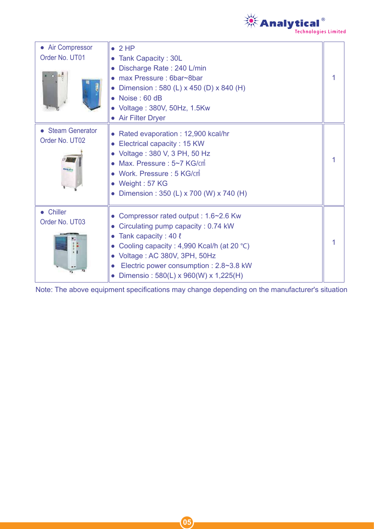

| • Air Compressor<br>Order No. UT01                  | $\bullet$ 2 HP<br>• Tank Capacity: 30L<br>Discharge Rate: 240 L/min<br>• max Pressure : 6bar~8bar<br>• Dimension : 580 (L) x 450 (D) x 840 (H)<br>$\bullet$ Noise : 60 dB<br>Voltage: 380V, 50Hz, 1.5Kw<br>• Air Filter Dryer                                                 |  |
|-----------------------------------------------------|-------------------------------------------------------------------------------------------------------------------------------------------------------------------------------------------------------------------------------------------------------------------------------|--|
| • Steam Generator<br>Order No. UT02<br><b>TABLE</b> | • Rated evaporation : 12,900 kcal/hr<br>Electrical capacity: 15 KW<br>Voltage: 380 V, 3 PH, 50 Hz<br>• Max. Pressure : $5\neg 7$ KG/ $cm\overline{1}$<br>• Work. Pressure: 5 KG/cm<br>• Weight: 57 KG<br>• Dimension: 350 (L) x 700 (W) x 740 (H)                             |  |
| • Chiller<br>Order No. UT03                         | • Compressor rated output : 1.6~2.6 Kw<br>• Circulating pump capacity : 0.74 kW<br>• Tank capacity : 40 $\ell$<br>Cooling capacity: 4,990 Kcal/h (at 20 °C)<br>Voltage: AC 380V, 3PH, 50Hz<br>Electric power consumption : 2.8~3.8 kW<br>Dimensio: 580(L) x 960(W) x 1,225(H) |  |

Note: The above equipment specifications may change depending on the manufacturer's situation